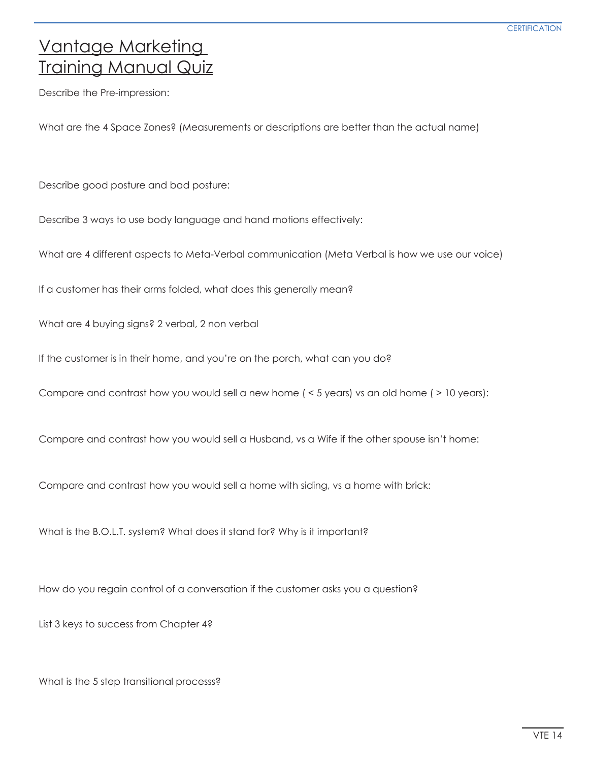## Vantage Marketing Training Manual Quiz

Describe the Pre-impression:

What are the 4 Space Zones? (Measurements or descriptions are better than the actual name)

Describe good posture and bad posture:

Describe 3 ways to use body language and hand motions effectively:

What are 4 different aspects to Meta-Verbal communication (Meta Verbal is how we use our voice)

If a customer has their arms folded, what does this generally mean?

What are 4 buying signs? 2 verbal, 2 non verbal

If the customer is in their home, and you're on the porch, what can you do?

Compare and contrast how you would sell a new home ( < 5 years) vs an old home ( > 10 years):

Compare and contrast how you would sell a Husband, vs a Wife if the other spouse isn't home:

Compare and contrast how you would sell a home with siding, vs a home with brick:

What is the B.O.L.T. system? What does it stand for? Why is it important?

How do you regain control of a conversation if the customer asks you a question?

List 3 keys to success from Chapter 4?

What is the 5 step transitional processs?